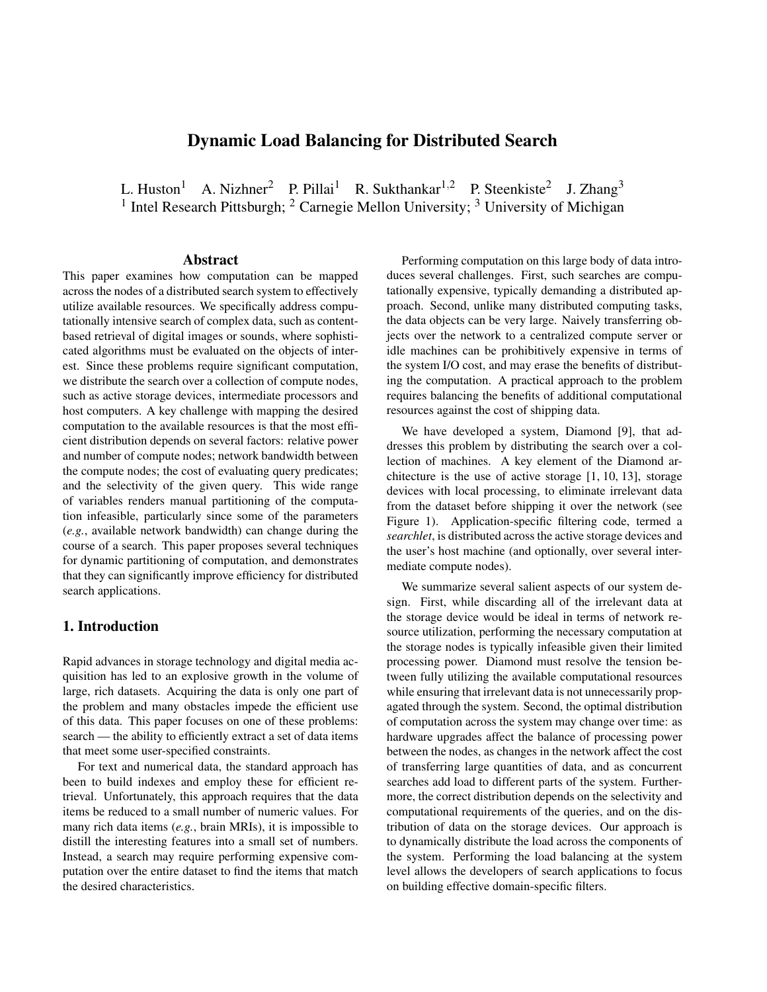# **Dynamic Load Balancing for Distributed Search**

L. Huston<sup>1</sup> A. Nizhner<sup>2</sup> P. Pillai<sup>1</sup> R. Sukthankar<sup>1,2</sup> P. Steenkiste<sup>2</sup> J. Zhang<sup>3</sup> <sup>1</sup> Intel Research Pittsburgh; <sup>2</sup> Carnegie Mellon University; <sup>3</sup> University of Michigan

### **Abstract**

This paper examines how computation can be mapped across the nodes of a distributed search system to effectively utilize available resources. We specifically address computationally intensive search of complex data, such as contentbased retrieval of digital images or sounds, where sophisticated algorithms must be evaluated on the objects of interest. Since these problems require significant computation, we distribute the search over a collection of compute nodes, such as active storage devices, intermediate processors and host computers. A key challenge with mapping the desired computation to the available resources is that the most efficient distribution depends on several factors: relative power and number of compute nodes; network bandwidth between the compute nodes; the cost of evaluating query predicates; and the selectivity of the given query. This wide range of variables renders manual partitioning of the computation infeasible, particularly since some of the parameters (*e.g.*, available network bandwidth) can change during the course of a search. This paper proposes several techniques for dynamic partitioning of computation, and demonstrates that they can significantly improve efficiency for distributed search applications.

# **1. Introduction**

Rapid advances in storage technology and digital media acquisition has led to an explosive growth in the volume of large, rich datasets. Acquiring the data is only one part of the problem and many obstacles impede the efficient use of this data. This paper focuses on one of these problems: search — the ability to efficiently extract a set of data items that meet some user-specified constraints.

For text and numerical data, the standard approach has been to build indexes and employ these for efficient retrieval. Unfortunately, this approach requires that the data items be reduced to a small number of numeric values. For many rich data items (*e.g.*, brain MRIs), it is impossible to distill the interesting features into a small set of numbers. Instead, a search may require performing expensive computation over the entire dataset to find the items that match the desired characteristics.

Performing computation on this large body of data introduces several challenges. First, such searches are computationally expensive, typically demanding a distributed approach. Second, unlike many distributed computing tasks, the data objects can be very large. Naively transferring objects over the network to a centralized compute server or idle machines can be prohibitively expensive in terms of the system I/O cost, and may erase the benefits of distributing the computation. A practical approach to the problem requires balancing the benefits of additional computational resources against the cost of shipping data.

We have developed a system, Diamond [9], that addresses this problem by distributing the search over a collection of machines. A key element of the Diamond architecture is the use of active storage [1, 10, 13], storage devices with local processing, to eliminate irrelevant data from the dataset before shipping it over the network (see Figure 1). Application-specific filtering code, termed a *searchlet*, is distributed acrossthe active storage devices and the user's host machine (and optionally, over several intermediate compute nodes).

We summarize several salient aspects of our system design. First, while discarding all of the irrelevant data at the storage device would be ideal in terms of network resource utilization, performing the necessary computation at the storage nodes is typically infeasible given their limited processing power. Diamond must resolve the tension between fully utilizing the available computational resources while ensuring that irrelevant data is not unnecessarily propagated through the system. Second, the optimal distribution of computation across the system may change over time: as hardware upgrades affect the balance of processing power between the nodes, as changes in the network affect the cost of transferring large quantities of data, and as concurrent searches add load to different parts of the system. Furthermore, the correct distribution depends on the selectivity and computational requirements of the queries, and on the distribution of data on the storage devices. Our approach is to dynamically distribute the load across the components of the system. Performing the load balancing at the system level allows the developers of search applications to focus on building effective domain-specific filters.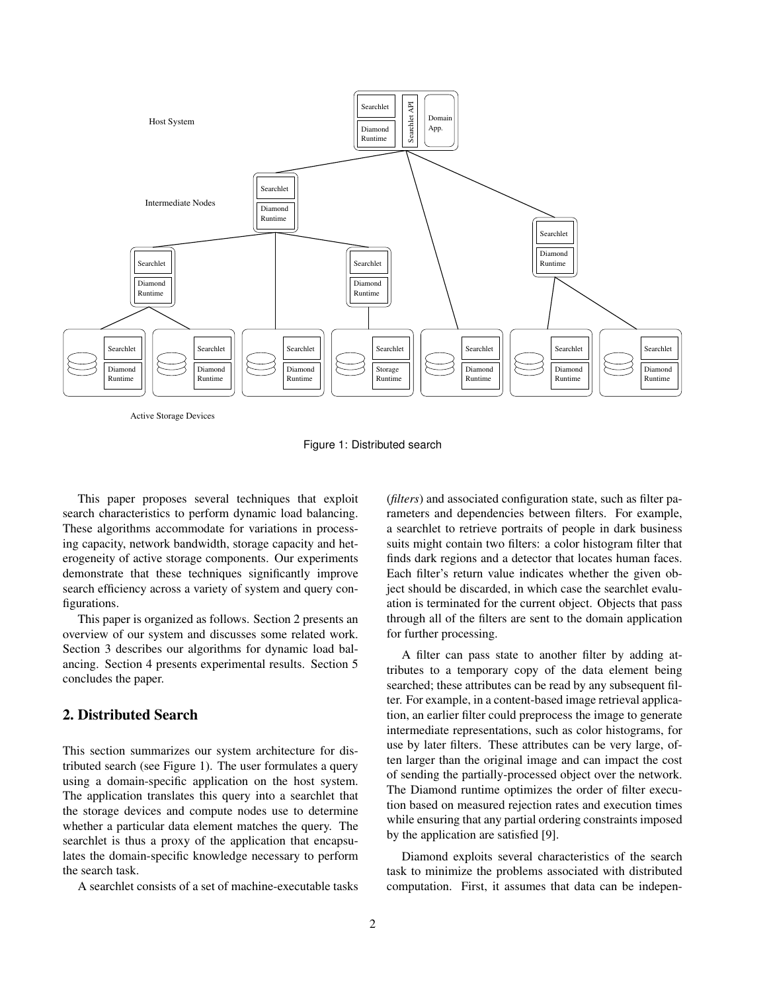

Active Storage Devices

Figure 1: Distributed search

This paper proposes several techniques that exploit search characteristics to perform dynamic load balancing. These algorithms accommodate for variations in processing capacity, network bandwidth, storage capacity and heterogeneity of active storage components. Our experiments demonstrate that these techniques significantly improve search efficiency across a variety of system and query configurations.

This paper is organized as follows. Section 2 presents an overview of our system and discusses some related work. Section 3 describes our algorithms for dynamic load balancing. Section 4 presents experimental results. Section 5 concludes the paper.

## **2. Distributed Search**

This section summarizes our system architecture for distributed search (see Figure 1). The user formulates a query using a domain-specific application on the host system. The application translates this query into a searchlet that the storage devices and compute nodes use to determine whether a particular data element matches the query. The searchlet is thus a proxy of the application that encapsulates the domain-specific knowledge necessary to perform the search task.

A searchlet consists of a set of machine-executable tasks

(*filters*) and associated configuration state, such as filter parameters and dependencies between filters. For example, a searchlet to retrieve portraits of people in dark business suits might contain two filters: a color histogram filter that finds dark regions and a detector that locates human faces. Each filter's return value indicates whether the given object should be discarded, in which case the searchlet evaluation is terminated for the current object. Objects that pass through all of the filters are sent to the domain application for further processing.

A filter can pass state to another filter by adding attributes to a temporary copy of the data element being searched; these attributes can be read by any subsequent filter. For example, in a content-based image retrieval application, an earlier filter could preprocess the image to generate intermediate representations, such as color histograms, for use by later filters. These attributes can be very large, often larger than the original image and can impact the cost of sending the partially-processed object over the network. The Diamond runtime optimizes the order of filter execution based on measured rejection rates and execution times while ensuring that any partial ordering constraints imposed by the application are satisfied [9].

Diamond exploits several characteristics of the search task to minimize the problems associated with distributed computation. First, it assumes that data can be indepen-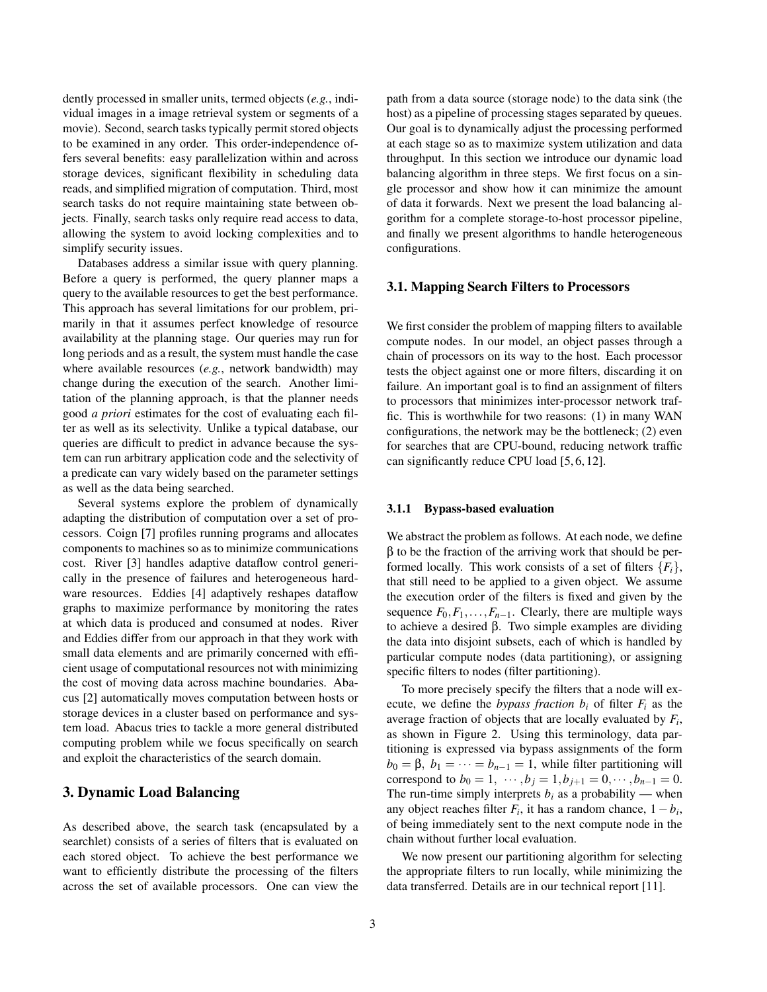dently processed in smaller units, termed objects (*e.g.*, individual images in a image retrieval system or segments of a movie). Second, search tasks typically permit stored objects to be examined in any order. This order-independence offers several benefits: easy parallelization within and across storage devices, significant flexibility in scheduling data reads, and simplified migration of computation. Third, most search tasks do not require maintaining state between objects. Finally, search tasks only require read access to data, allowing the system to avoid locking complexities and to simplify security issues.

Databases address a similar issue with query planning. Before a query is performed, the query planner maps a query to the available resources to get the best performance. This approach has several limitations for our problem, primarily in that it assumes perfect knowledge of resource availability at the planning stage. Our queries may run for long periods and as a result, the system must handle the case where available resources (*e.g.*, network bandwidth) may change during the execution of the search. Another limitation of the planning approach, is that the planner needs good *a priori* estimates for the cost of evaluating each filter as well as its selectivity. Unlike a typical database, our queries are difficult to predict in advance because the system can run arbitrary application code and the selectivity of a predicate can vary widely based on the parameter settings as well as the data being searched.

Several systems explore the problem of dynamically adapting the distribution of computation over a set of processors. Coign [7] profiles running programs and allocates components to machines so as to minimize communications cost. River [3] handles adaptive dataflow control generically in the presence of failures and heterogeneous hardware resources. Eddies [4] adaptively reshapes dataflow graphs to maximize performance by monitoring the rates at which data is produced and consumed at nodes. River and Eddies differ from our approach in that they work with small data elements and are primarily concerned with efficient usage of computational resources not with minimizing the cost of moving data across machine boundaries. Abacus [2] automatically moves computation between hosts or storage devices in a cluster based on performance and system load. Abacus tries to tackle a more general distributed computing problem while we focus specifically on search and exploit the characteristics of the search domain.

## **3. Dynamic Load Balancing**

As described above, the search task (encapsulated by a searchlet) consists of a series of filters that is evaluated on each stored object. To achieve the best performance we want to efficiently distribute the processing of the filters across the set of available processors. One can view the path from a data source (storage node) to the data sink (the host) as a pipeline of processing stages separated by queues. Our goal is to dynamically adjust the processing performed at each stage so as to maximize system utilization and data throughput. In this section we introduce our dynamic load balancing algorithm in three steps. We first focus on a single processor and show how it can minimize the amount of data it forwards. Next we present the load balancing algorithm for a complete storage-to-host processor pipeline, and finally we present algorithms to handle heterogeneous configurations.

## **3.1. Mapping Search Filters to Processors**

We first consider the problem of mapping filters to available compute nodes. In our model, an object passes through a chain of processors on its way to the host. Each processor tests the object against one or more filters, discarding it on failure. An important goal is to find an assignment of filters to processors that minimizes inter-processor network traffic. This is worthwhile for two reasons: (1) in many WAN configurations, the network may be the bottleneck; (2) even for searches that are CPU-bound, reducing network traffic can significantly reduce CPU load [5, 6, 12].

#### **3.1.1 Bypass-based evaluation**

We abstract the problem as follows. At each node, we define  $β$  to be the fraction of the arriving work that should be performed locally. This work consists of a set of filters  ${F_i}$ , that still need to be applied to a given object. We assume the execution order of the filters is fixed and given by the sequence  $F_0, F_1, \ldots, F_{n-1}$ . Clearly, there are multiple ways to achieve a desired β. Two simple examples are dividing the data into disjoint subsets, each of which is handled by particular compute nodes (data partitioning), or assigning specific filters to nodes (filter partitioning).

To more precisely specify the filters that a node will execute, we define the *bypass fraction*  $b_i$  of filter  $F_i$  as the average fraction of objects that are locally evaluated by *F<sup>i</sup>* , as shown in Figure 2. Using this terminology, data partitioning is expressed via bypass assignments of the form  $b_0 = \beta$ ,  $b_1 = \cdots = b_{n-1} = 1$ , while filter partitioning will correspond to  $b_0 = 1, \dots, b_j = 1, b_{j+1} = 0, \dots, b_{n-1} = 0.$ The run-time simply interprets  $b_i$  as a probability — when any object reaches filter  $F_i$ , it has a random chance,  $1 - b_i$ , of being immediately sent to the next compute node in the chain without further local evaluation.

We now present our partitioning algorithm for selecting the appropriate filters to run locally, while minimizing the data transferred. Details are in our technical report [11].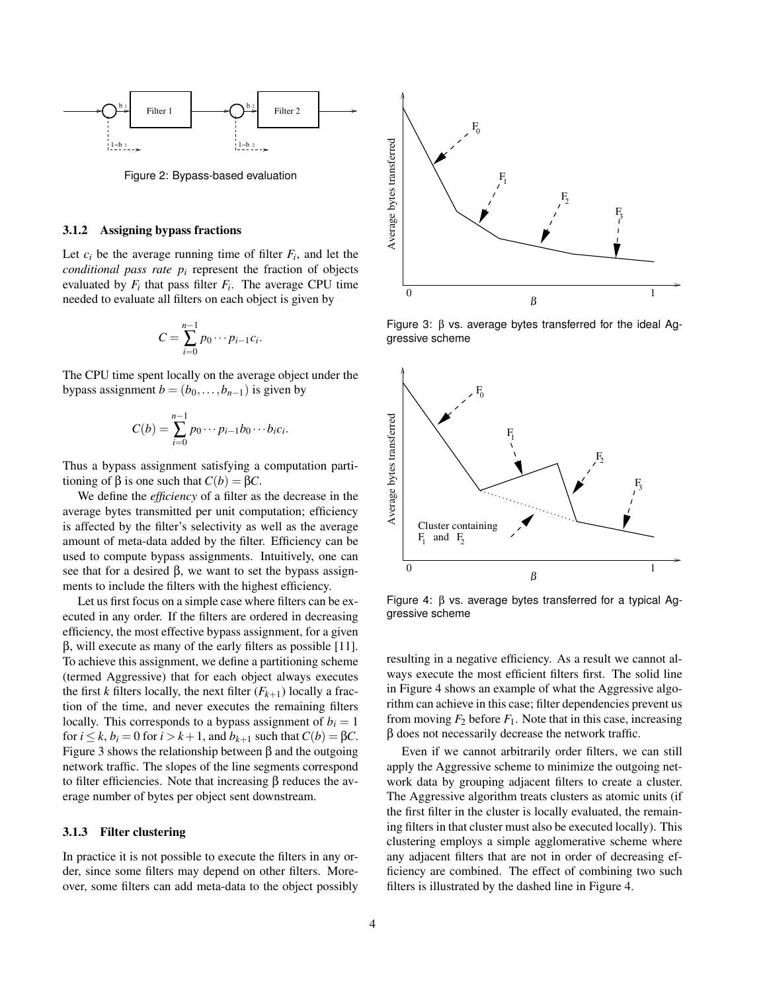

Figure 2: Bypass-based evaluation

#### **3.1.2 Assigning bypass fractions**

Let  $c_i$  be the average running time of filter  $F_i$ , and let the *conditional pass rate p<sup>i</sup>* represent the fraction of objects evaluated by  $F_i$  that pass filter  $F_i$ . The average CPU time needed to evaluate all filters on each object is given by

$$
C=\sum_{i=0}^{n-1}p_0\cdots p_{i-1}c_i.
$$

The CPU time spent locally on the average object under the bypass assignment  $b = (b_0, \ldots, b_{n-1})$  is given by

$$
C(b) = \sum_{i=0}^{n-1} p_0 \cdots p_{i-1} b_0 \cdots b_i c_i.
$$

Thus a bypass assignment satisfying a computation partitioning of β is one such that  $C(b) = \beta C$ .

We define the *efficiency* of a filter as the decrease in the average bytes transmitted per unit computation; efficiency is affected by the filter's selectivity as well as the average amount of meta-data added by the filter. Efficiency can be used to compute bypass assignments. Intuitively, one can see that for a desired β, we want to set the bypass assignments to include the filters with the highest efficiency.

Let us first focus on a simple case where filters can be executed in any order. If the filters are ordered in decreasing efficiency, the most effective bypass assignment, for a given  $β$ , will execute as many of the early filters as possible [11]. To achieve this assignment, we define a partitioning scheme (termed Aggressive) that for each object always executes the first *k* filters locally, the next filter  $(F_{k+1})$  locally a fraction of the time, and never executes the remaining filters locally. This corresponds to a bypass assignment of  $b_i = 1$ for  $i \leq k$ ,  $b_i = 0$  for  $i > k+1$ , and  $b_{k+1}$  such that  $C(b) = \beta C$ . Figure 3 shows the relationship between β and the outgoing network traffic. The slopes of the line segments correspond to filter efficiencies. Note that increasing β reduces the average number of bytes per object sent downstream.

### **3.1.3 Filter clustering**

In practice it is not possible to execute the filters in any order, since some filters may depend on other filters. Moreover, some filters can add meta-data to the object possibly



Figure 3: β vs. average bytes transferred for the ideal Aggressive scheme



Figure 4: β vs. average bytes transferred for a typical Aggressive scheme

resulting in a negative efficiency. As a result we cannot always execute the most efficient filters first. The solid line in Figure 4 shows an example of what the Aggressive algorithm can achieve in this case; filter dependencies prevent us from moving  $F_2$  before  $F_1$ . Note that in this case, increasing β does not necessarily decrease the network traffic.

Even if we cannot arbitrarily order filters, we can still apply the Aggressive scheme to minimize the outgoing network data by grouping adjacent filters to create a cluster. The Aggressive algorithm treats clusters as atomic units (if the first filter in the cluster is locally evaluated, the remaining filters in that cluster must also be executed locally). This clustering employs a simple agglomerative scheme where any adjacent filters that are not in order of decreasing efficiency are combined. The effect of combining two such filters is illustrated by the dashed line in Figure 4.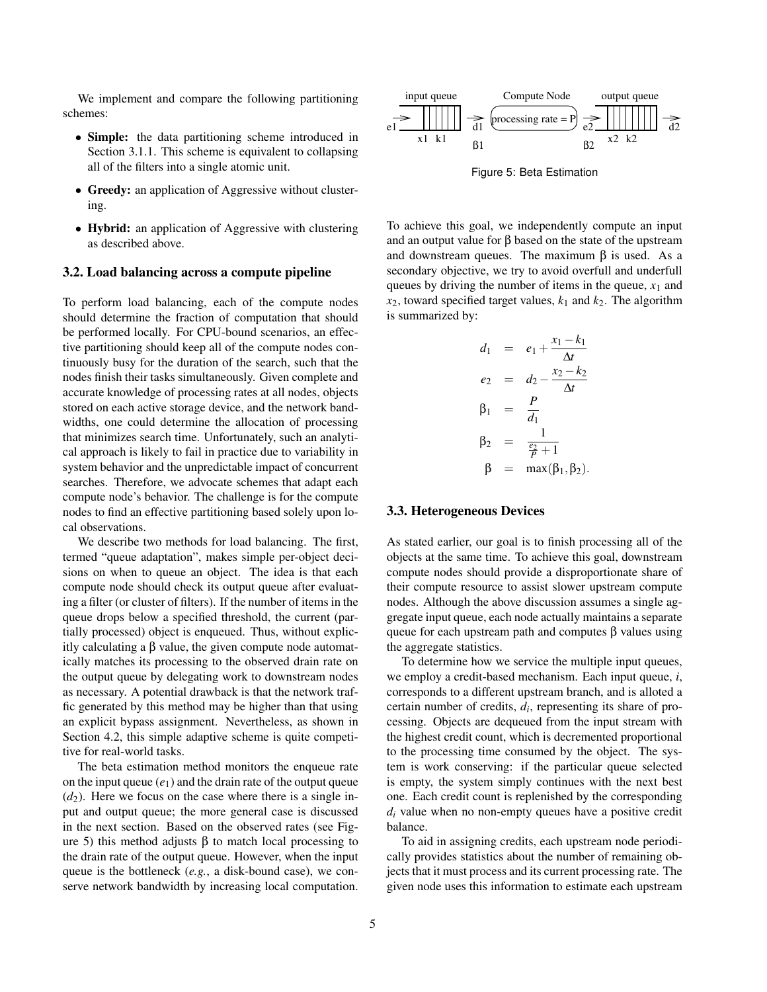We implement and compare the following partitioning schemes:

- **Simple:** the data partitioning scheme introduced in Section 3.1.1. This scheme is equivalent to collapsing all of the filters into a single atomic unit.
- **Greedy:** an application of Aggressive without clustering.
- **Hybrid:** an application of Aggressive with clustering as described above.

#### **3.2. Load balancing across a compute pipeline**

To perform load balancing, each of the compute nodes should determine the fraction of computation that should be performed locally. For CPU-bound scenarios, an effective partitioning should keep all of the compute nodes continuously busy for the duration of the search, such that the nodes finish their tasks simultaneously. Given complete and accurate knowledge of processing rates at all nodes, objects stored on each active storage device, and the network bandwidths, one could determine the allocation of processing that minimizes search time. Unfortunately, such an analytical approach is likely to fail in practice due to variability in system behavior and the unpredictable impact of concurrent searches. Therefore, we advocate schemes that adapt each compute node's behavior. The challenge is for the compute nodes to find an effective partitioning based solely upon local observations.

We describe two methods for load balancing. The first, termed "queue adaptation", makes simple per-object decisions on when to queue an object. The idea is that each compute node should check its output queue after evaluating a filter (or cluster of filters). If the number of items in the queue drops below a specified threshold, the current (partially processed) object is enqueued. Thus, without explicitly calculating a β value, the given compute node automatically matches its processing to the observed drain rate on the output queue by delegating work to downstream nodes as necessary. A potential drawback is that the network traffic generated by this method may be higher than that using an explicit bypass assignment. Nevertheless, as shown in Section 4.2, this simple adaptive scheme is quite competitive for real-world tasks.

The beta estimation method monitors the enqueue rate on the input queue  $(e_1)$  and the drain rate of the output queue  $(d_2)$ . Here we focus on the case where there is a single input and output queue; the more general case is discussed in the next section. Based on the observed rates (see Figure 5) this method adjusts  $β$  to match local processing to the drain rate of the output queue. However, when the input queue is the bottleneck (*e.g.*, a disk-bound case), we conserve network bandwidth by increasing local computation.



Figure 5: Beta Estimation

To achieve this goal, we independently compute an input and an output value for  $\beta$  based on the state of the upstream and downstream queues. The maximum  $\beta$  is used. As a secondary objective, we try to avoid overfull and underfull queues by driving the number of items in the queue,  $x_1$  and  $x_2$ , toward specified target values,  $k_1$  and  $k_2$ . The algorithm is summarized by:

$$
d_1 = e_1 + \frac{x_1 - k_1}{\Delta t}
$$
  
\n
$$
e_2 = d_2 - \frac{x_2 - k_2}{\Delta t}
$$
  
\n
$$
\beta_1 = \frac{P}{d_1}
$$
  
\n
$$
\beta_2 = \frac{1}{\frac{e_2}{P} + 1}
$$
  
\n
$$
\beta = \max(\beta_1, \beta_2).
$$

#### **3.3. Heterogeneous Devices**

As stated earlier, our goal is to finish processing all of the objects at the same time. To achieve this goal, downstream compute nodes should provide a disproportionate share of their compute resource to assist slower upstream compute nodes. Although the above discussion assumes a single aggregate input queue, each node actually maintains a separate queue for each upstream path and computes  $β$  values using the aggregate statistics.

To determine how we service the multiple input queues, we employ a credit-based mechanism. Each input queue, *i*, corresponds to a different upstream branch, and is alloted a certain number of credits, *d<sup>i</sup>* , representing its share of processing. Objects are dequeued from the input stream with the highest credit count, which is decremented proportional to the processing time consumed by the object. The system is work conserving: if the particular queue selected is empty, the system simply continues with the next best one. Each credit count is replenished by the corresponding  $d_i$  value when no non-empty queues have a positive credit balance.

To aid in assigning credits, each upstream node periodically provides statistics about the number of remaining objects that it must process and its current processing rate. The given node uses this information to estimate each upstream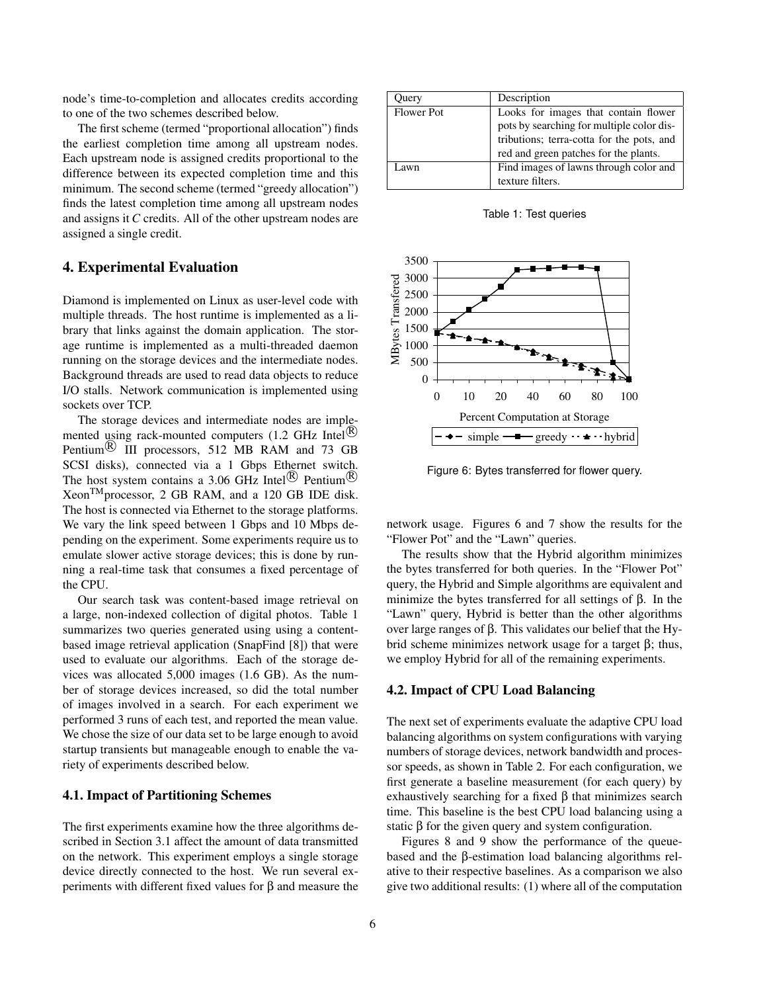node's time-to-completion and allocates credits according to one of the two schemes described below.

The first scheme (termed "proportional allocation") finds the earliest completion time among all upstream nodes. Each upstream node is assigned credits proportional to the difference between its expected completion time and this minimum. The second scheme (termed "greedy allocation") finds the latest completion time among all upstream nodes and assigns it *C* credits. All of the other upstream nodes are assigned a single credit.

## **4. Experimental Evaluation**

Diamond is implemented on Linux as user-level code with multiple threads. The host runtime is implemented as a library that links against the domain application. The storage runtime is implemented as a multi-threaded daemon running on the storage devices and the intermediate nodes. Background threads are used to read data objects to reduce I/O stalls. Network communication is implemented using sockets over TCP.

The storage devices and intermediate nodes are implemented using rack-mounted computers  $(1.2 \text{ GHz Intel}^{R})$ Pentium $\stackrel{(B)}{0}$  III processors, 512 MB RAM and 73 GB SCSI disks), connected via a 1 Gbps Ethernet switch. The host system contains a 3.06 GHz Intel<sup>(R)</sup> Pentium<sup>(R)</sup> XeonTMprocessor, 2 GB RAM, and a 120 GB IDE disk. The host is connected via Ethernet to the storage platforms. We vary the link speed between 1 Gbps and 10 Mbps depending on the experiment. Some experiments require us to emulate slower active storage devices; this is done by running a real-time task that consumes a fixed percentage of the CPU.

Our search task was content-based image retrieval on a large, non-indexed collection of digital photos. Table 1 summarizes two queries generated using using a contentbased image retrieval application (SnapFind [8]) that were used to evaluate our algorithms. Each of the storage devices was allocated 5,000 images (1.6 GB). As the number of storage devices increased, so did the total number of images involved in a search. For each experiment we performed 3 runs of each test, and reported the mean value. We chose the size of our data set to be large enough to avoid startup transients but manageable enough to enable the variety of experiments described below.

### **4.1. Impact of Partitioning Schemes**

The first experiments examine how the three algorithms described in Section 3.1 affect the amount of data transmitted on the network. This experiment employs a single storage device directly connected to the host. We run several experiments with different fixed values for β and measure the

| <b>Duery</b> | Description                               |
|--------------|-------------------------------------------|
| Flower Pot   | Looks for images that contain flower      |
|              | pots by searching for multiple color dis- |
|              | tributions; terra-cotta for the pots, and |
|              | red and green patches for the plants.     |
| Lawn.        | Find images of lawns through color and    |
|              | texture filters.                          |

Table 1: Test queries



Figure 6: Bytes transferred for flower query.

network usage. Figures 6 and 7 show the results for the "Flower Pot" and the "Lawn" queries.

The results show that the Hybrid algorithm minimizes the bytes transferred for both queries. In the "Flower Pot" query, the Hybrid and Simple algorithms are equivalent and minimize the bytes transferred for all settings of β. In the "Lawn" query, Hybrid is better than the other algorithms over large ranges of β. This validates our belief that the Hybrid scheme minimizes network usage for a target β; thus, we employ Hybrid for all of the remaining experiments.

#### **4.2. Impact of CPU Load Balancing**

The next set of experiments evaluate the adaptive CPU load balancing algorithms on system configurations with varying numbers of storage devices, network bandwidth and processor speeds, as shown in Table 2. For each configuration, we first generate a baseline measurement (for each query) by exhaustively searching for a fixed β that minimizes search time. This baseline is the best CPU load balancing using a static  $\beta$  for the given query and system configuration.

Figures 8 and 9 show the performance of the queuebased and the β-estimation load balancing algorithms relative to their respective baselines. As a comparison we also give two additional results: (1) where all of the computation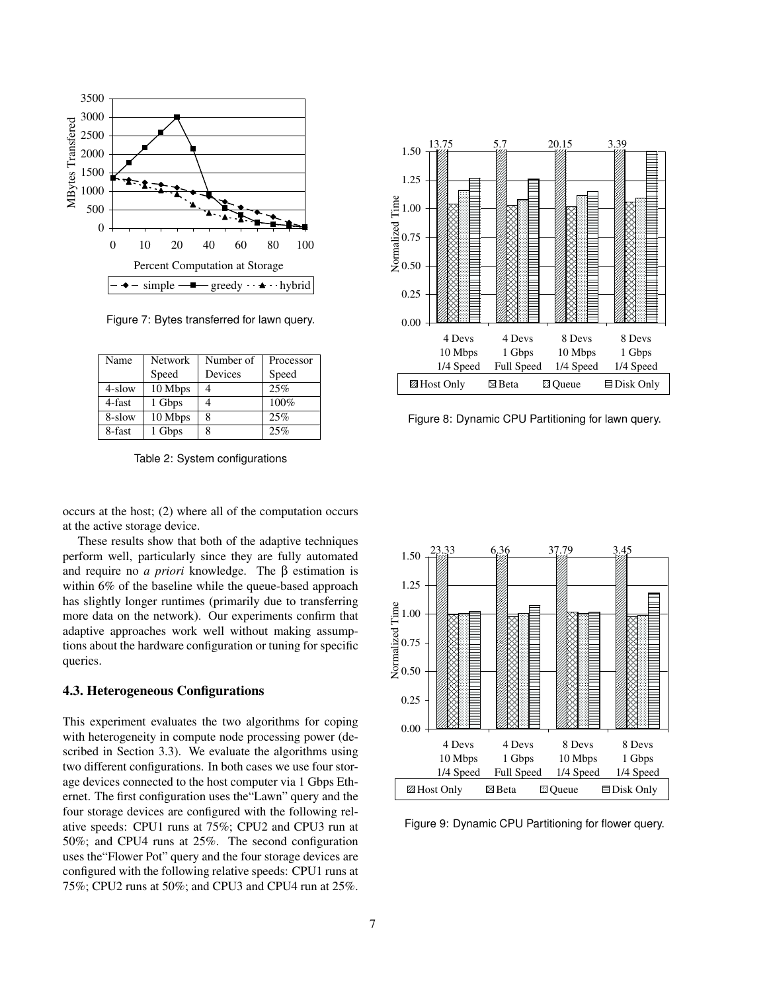

Figure 7: Bytes transferred for lawn query.

| Name   | <b>Network</b> | Number of | Processor |
|--------|----------------|-----------|-----------|
|        | Speed          | Devices   | Speed     |
| 4-slow | 10 Mbps        |           | 25%       |
| 4-fast | 1 Gbps         |           | 100%      |
| 8-slow | 10 Mbps        | 8         | 25%       |
| 8-fast | 1 Gbps         | 8         | 25%       |

Table 2: System configurations

occurs at the host; (2) where all of the computation occurs at the active storage device.

These results show that both of the adaptive techniques perform well, particularly since they are fully automated and require no *a priori* knowledge. The β estimation is within 6% of the baseline while the queue-based approach has slightly longer runtimes (primarily due to transferring more data on the network). Our experiments confirm that adaptive approaches work well without making assumptions about the hardware configuration or tuning for specific queries.

#### **4.3. Heterogeneous Configurations**

This experiment evaluates the two algorithms for coping with heterogeneity in compute node processing power (described in Section 3.3). We evaluate the algorithms using two different configurations. In both cases we use four storage devices connected to the host computer via 1 Gbps Ethernet. The first configuration uses the"Lawn" query and the four storage devices are configured with the following relative speeds: CPU1 runs at 75%; CPU2 and CPU3 run at 50%; and CPU4 runs at 25%. The second configuration uses the"Flower Pot" query and the four storage devices are configured with the following relative speeds: CPU1 runs at 75%; CPU2 runs at 50%; and CPU3 and CPU4 run at 25%.



Figure 8: Dynamic CPU Partitioning for lawn query.



Figure 9: Dynamic CPU Partitioning for flower query.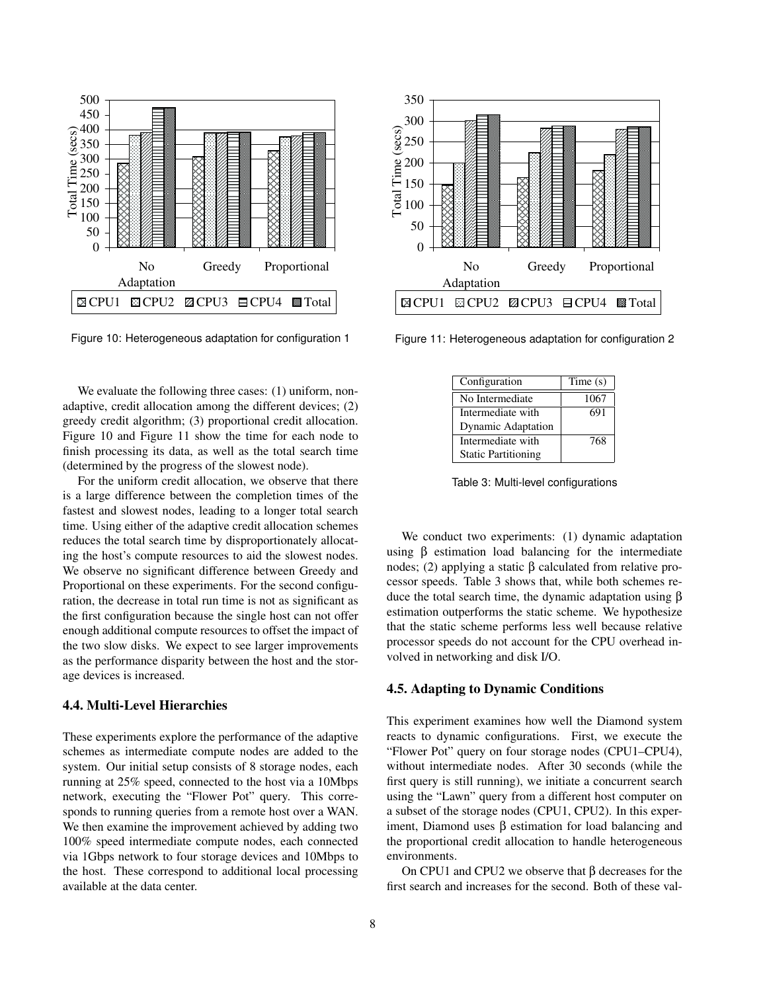

Figure 10: Heterogeneous adaptation for configuration 1

We evaluate the following three cases: (1) uniform, nonadaptive, credit allocation among the different devices; (2) greedy credit algorithm; (3) proportional credit allocation. Figure 10 and Figure 11 show the time for each node to finish processing its data, as well as the total search time (determined by the progress of the slowest node).

For the uniform credit allocation, we observe that there is a large difference between the completion times of the fastest and slowest nodes, leading to a longer total search time. Using either of the adaptive credit allocation schemes reduces the total search time by disproportionately allocating the host's compute resources to aid the slowest nodes. We observe no significant difference between Greedy and Proportional on these experiments. For the second configuration, the decrease in total run time is not as significant as the first configuration because the single host can not offer enough additional compute resources to offset the impact of the two slow disks. We expect to see larger improvements as the performance disparity between the host and the storage devices is increased.

## **4.4. Multi-Level Hierarchies**

These experiments explore the performance of the adaptive schemes as intermediate compute nodes are added to the system. Our initial setup consists of 8 storage nodes, each running at 25% speed, connected to the host via a 10Mbps network, executing the "Flower Pot" query. This corresponds to running queries from a remote host over a WAN. We then examine the improvement achieved by adding two 100% speed intermediate compute nodes, each connected via 1Gbps network to four storage devices and 10Mbps to the host. These correspond to additional local processing available at the data center.



Figure 11: Heterogeneous adaptation for configuration 2

| Configuration              | Time(s) |
|----------------------------|---------|
| No Intermediate            | 1067    |
| Intermediate with          | 691     |
| <b>Dynamic Adaptation</b>  |         |
| Intermediate with          | 768     |
| <b>Static Partitioning</b> |         |

Table 3: Multi-level configurations

We conduct two experiments: (1) dynamic adaptation using β estimation load balancing for the intermediate nodes; (2) applying a static β calculated from relative processor speeds. Table 3 shows that, while both schemes reduce the total search time, the dynamic adaptation using β estimation outperforms the static scheme. We hypothesize that the static scheme performs less well because relative processor speeds do not account for the CPU overhead involved in networking and disk I/O.

## **4.5. Adapting to Dynamic Conditions**

This experiment examines how well the Diamond system reacts to dynamic configurations. First, we execute the "Flower Pot" query on four storage nodes (CPU1–CPU4), without intermediate nodes. After 30 seconds (while the first query is still running), we initiate a concurrent search using the "Lawn" query from a different host computer on a subset of the storage nodes (CPU1, CPU2). In this experiment, Diamond uses β estimation for load balancing and the proportional credit allocation to handle heterogeneous environments.

On CPU1 and CPU2 we observe that β decreases for the first search and increases for the second. Both of these val-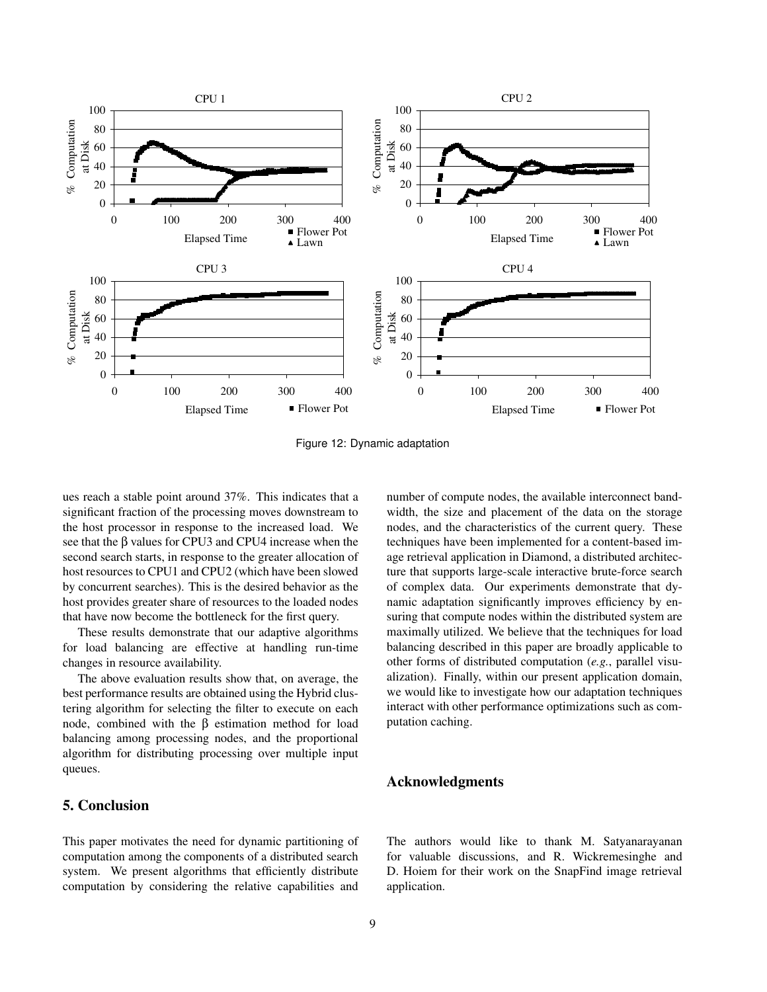

Figure 12: Dynamic adaptation

ues reach a stable point around 37%. This indicates that a significant fraction of the processing moves downstream to the host processor in response to the increased load. We see that the β values for CPU3 and CPU4 increase when the second search starts, in response to the greater allocation of host resources to CPU1 and CPU2 (which have been slowed by concurrent searches). This is the desired behavior as the host provides greater share of resources to the loaded nodes that have now become the bottleneck for the first query.

These results demonstrate that our adaptive algorithms for load balancing are effective at handling run-time changes in resource availability.

The above evaluation results show that, on average, the best performance results are obtained using the Hybrid clustering algorithm for selecting the filter to execute on each node, combined with the  $β$  estimation method for load balancing among processing nodes, and the proportional algorithm for distributing processing over multiple input queues.

# **5. Conclusion**

This paper motivates the need for dynamic partitioning of computation among the components of a distributed search system. We present algorithms that efficiently distribute computation by considering the relative capabilities and

number of compute nodes, the available interconnect bandwidth, the size and placement of the data on the storage nodes, and the characteristics of the current query. These techniques have been implemented for a content-based image retrieval application in Diamond, a distributed architecture that supports large-scale interactive brute-force search of complex data. Our experiments demonstrate that dynamic adaptation significantly improves efficiency by ensuring that compute nodes within the distributed system are maximally utilized. We believe that the techniques for load balancing described in this paper are broadly applicable to other forms of distributed computation (*e.g.*, parallel visualization). Finally, within our present application domain, we would like to investigate how our adaptation techniques interact with other performance optimizations such as computation caching.

## **Acknowledgments**

The authors would like to thank M. Satyanarayanan for valuable discussions, and R. Wickremesinghe and D. Hoiem for their work on the SnapFind image retrieval application.